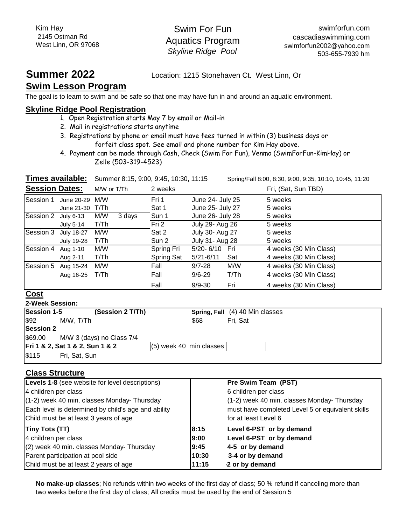Swim For Fun Aquatics Program *Skyline Ridge Pool*

**Summer 2022** Location: 1215 Stonehaven Ct. West Linn, Or

## **Swim Lesson Program**

The goal is to learn to swim and be safe so that one may have fun in and around an aquatic environment.

#### **Skyline Ridge Pool Registration**

- 1. Open Registration starts May 7 by email or Mail-in
- 2. Mail in registrations starts anytime
- 3. Registrations by phone or email must have fees turned in within (3) business days or forfeit class spot. See email and phone number for Kim Hay above.
- Zelle (503-319-4523) 4. Payment can be made through Cash, Check (Swim For Fun), Venmo (SwimForFun-KimHay) or

**Times available:** Summer 8:15, 9:00, 9:45, 10:30, 11:15

Spring/Fall 8:00, 8:30, 9:00, 9:35, 10:10, 10:45, 11:20

| <b>Session Dates:</b> |                   | M/W or T/Th   | 2 weeks    |                      | Fri, (Sat, Sun TBD)    |
|-----------------------|-------------------|---------------|------------|----------------------|------------------------|
| Session 1             | June 20-29        | M/W           | Fri 1      | June 24- July 25     | 5 weeks                |
|                       | June 21-30        | T/Th          | Sat 1      | June 25- July 27     | 5 weeks                |
| Session 2 July 6-13   |                   | M/W<br>3 days | Sun 1      | June 26- July 28     | 5 weeks                |
|                       | July 5-14         | T/Th          | Fri 2      | July 29- Aug 26      | 5 weeks                |
| Session 3             | July 18-27        | M/W           | Sat 2      | July 30- Aug 27      | 5 weeks                |
|                       | <b>July 19-28</b> | T/Th          | Sun 2      | July 31- Aug 28      | 5 weeks                |
| Session 4             | Aug 1-10          | M/W           | Spring Fri | 5/20-6/10 Fri        | 4 weeks (30 Min Class) |
|                       | Aug 2-11          | T/Th          | Spring Sat | $5/21 - 6/11$<br>Sat | 4 weeks (30 Min Class) |
| Session 5             | Aug 15-24         | M/W           | Fall       | $9/7 - 28$<br>M/W    | 4 weeks (30 Min Class) |
|                       | Aug 16-25         | T/Th          | Fall       | T/Th<br>$9/6 - 29$   | 4 weeks (30 Min Class) |
|                       |                   |               | Fall       | Fri<br>$9/9 - 30$    | 4 weeks (30 Min Class) |

#### **Cost**

| <b>2-Week Session:</b> |                                 |                           |                                 |
|------------------------|---------------------------------|---------------------------|---------------------------------|
| Session 1-5            | (Session 2 T/Th)                |                           | Spring, Fall (4) 40 Min classes |
| $\frac{1}{2}$          | M/W. T/Th                       | \$68                      | Fri. Sat                        |
| <b>Session 2</b>       |                                 |                           |                                 |
| \$69.00                | M/W 3 (days) no Class 7/4       |                           |                                 |
|                        | Fri 1 & 2, Sat 1 & 2, Sun 1 & 2 | $(5)$ week 40 min classes |                                 |
| \$115                  | Fri, Sat, Sun                   |                           |                                 |

### **Class Structure**

| Levels 1-8 (see website for level descriptions)     |       | Pre Swim Team (PST)                              |
|-----------------------------------------------------|-------|--------------------------------------------------|
| 4 children per class                                |       | 6 children per class                             |
| (1-2) week 40 min. classes Monday- Thursday         |       | (1-2) week 40 min. classes Monday- Thursday      |
| Each level is determined by child's age and ability |       | must have completed Level 5 or equivalent skills |
| Child must be at least 3 years of age               |       | for at least Level 6                             |
| <b>Tiny Tots (TT)</b>                               | 8:15  | Level 6-PST or by demand                         |
| 4 children per class                                | 9:00  | Level 6-PST or by demand                         |
| (2) week 40 min. classes Monday- Thursday           | 9:45  | 4-5 or by demand                                 |
| Parent participation at pool side                   | 10:30 | 3-4 or by demand                                 |
| Child must be at least 2 years of age               | 11:15 | 2 or by demand                                   |

**No make-up classes**; No refunds within two weeks of the first day of class; 50 % refund if canceling more than two weeks before the first day of class; All credits must be used by the end of Session 5